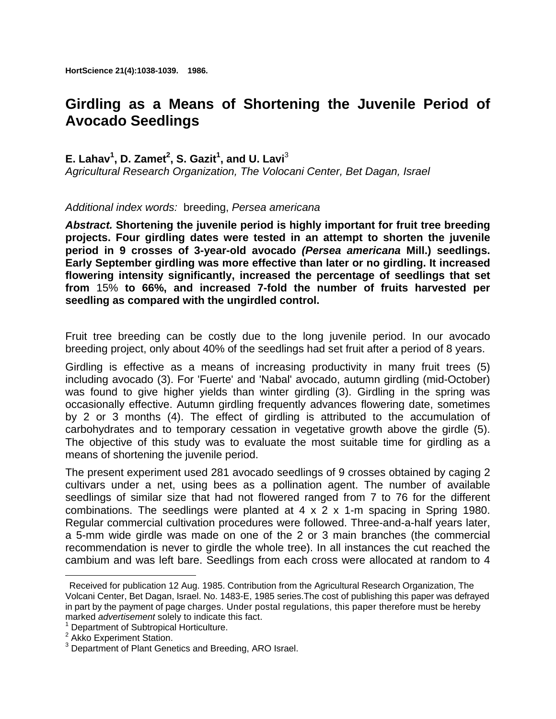**HortScience 21(4):1038-1039. 1986.**

## **Girdling as a Means of Shortening the Juvenile Period of Avocado Seedlings**

## **E. Lahav<sup>1</sup>, D. Zamet<sup>2</sup>, S. Gazit<sup>1</sup>, and U. Lavi<sup>3</sup>**

*Agricultural Research Organization, The Volocani Center, Bet Dagan, Israel* 

## *Additional index words:* breeding, *Persea americana*

*Abstract.* **Shortening the juvenile period is highly important for fruit tree breeding projects. Four girdling dates were tested in an attempt to shorten the juvenile period in 9 crosses of 3-year-old avocado** *(Persea americana* **Mill.) seedlings. Early September girdling was more effective than later or no girdling. It increased flowering intensity significantly, increased the percentage of seedlings that set from** 15% **to 66%, and increased 7-fold the number of fruits harvested per seedling as compared with the ungirdled control.**

Fruit tree breeding can be costly due to the long juvenile period. In our avocado breeding project, only about 40% of the seedlings had set fruit after a period of 8 years.

Girdling is effective as a means of increasing productivity in many fruit trees (5) including avocado (3). For 'Fuerte' and 'Nabal' avocado, autumn girdling (mid-October) was found to give higher yields than winter girdling (3). Girdling in the spring was occasionally effective. Autumn girdling frequently advances flowering date, sometimes by 2 or 3 months (4). The effect of girdling is attributed to the accumulation of carbohydrates and to temporary cessation in vegetative growth above the girdle (5). The objective of this study was to evaluate the most suitable time for girdling as a means of shortening the juvenile period.

The present experiment used 281 avocado seedlings of 9 crosses obtained by caging 2 cultivars under a net, using bees as a pollination agent. The number of available seedlings of similar size that had not flowered ranged from 7 to 76 for the different combinations. The seedlings were planted at 4 x 2 x 1-m spacing in Spring 1980. Regular commercial cultivation procedures were followed. Three-and-a-half years later, a 5-mm wide girdle was made on one of the 2 or 3 main branches (the commercial recommendation is never to girdle the whole tree). In all instances the cut reached the cambium and was left bare. Seedlings from each cross were allocated at random to 4

 $\overline{\phantom{a}}$ 

Received for publication 12 Aug. 1985. Contribution from the Agricultural Research Organization, The Volcani Center, Bet Dagan, Israel. No. 1483-E, 1985 series.The cost of publishing this paper was defrayed in part by the payment of page charges. Under postal regulations, this paper therefore must be hereby marked *advertisement* solely to indicate this fact. 1

<sup>&</sup>lt;sup>1</sup> Department of Subtropical Horticulture.

<sup>&</sup>lt;sup>2</sup> Akko Experiment Station.

<sup>&</sup>lt;sup>3</sup> Department of Plant Genetics and Breeding, ARO Israel.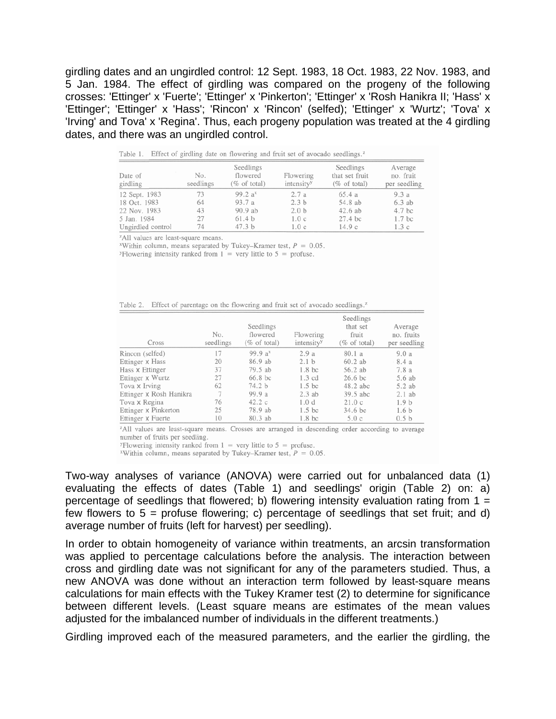girdling dates and an ungirdled control: 12 Sept. 1983, 18 Oct. 1983, 22 Nov. 1983, and 5 Jan. 1984. The effect of girdling was compared on the progeny of the following crosses: 'Ettinger' x 'Fuerte'; 'Ettinger' x 'Pinkerton'; 'Ettinger' x 'Rosh Hanikra II; 'Hass' x 'Ettinger'; 'Ettinger' x 'Hass'; 'Rincon' x 'Rincon' (selfed); 'Ettinger' x 'Wurtz'; 'Tova' x 'Irving' and Tova' x 'Regina'. Thus, each progeny population was treated at the 4 girdling dates, and there was an ungirdled control.

| Table 1. Effect of girdling date on flowering and fruit set of avocado seedlings.<br>Date of<br>girdling | No.<br>seedlings | Seedlings<br>flowered<br>$(\%$ of total) | Flowering<br>intensity <sup>y</sup> | Seedlings<br>that set fruit<br>$(\%$ of total) | Average<br>no. fruit<br>per seedling |
|----------------------------------------------------------------------------------------------------------|------------------|------------------------------------------|-------------------------------------|------------------------------------------------|--------------------------------------|
| 12 Sept. 1983                                                                                            | 73               | 99.2 a <sup>x</sup>                      | 2.7a                                | 65.4a                                          | 9.3a                                 |
| 18 Oct. 1983                                                                                             | 64               | 93.7a                                    | 2.3 <sub>b</sub>                    | 54.8 ab                                        | $6.3$ ab                             |
| 22 Nov. 1983                                                                                             | 43               | 90.9 ab                                  | 2.0 <sub>b</sub>                    | $42.6$ ab                                      | 4.7 <sub>bc</sub>                    |
| 5 Jan. 1984                                                                                              | 27               | 61.4 <sub>b</sub>                        | 1.0c                                | 27.4 bc                                        | 1.7 <sub>bc</sub>                    |
| Ungirdled control                                                                                        | 74               | 47.3 b                                   | 1.0c                                | 14.9c                                          | 1.3c                                 |

<sup>z</sup>All values are least-square means.

<sup>x</sup>Within column, means separated by Tukey-Kramer test,  $P = 0.05$ .

<sup>y</sup>Flowering intensity ranked from  $1 =$  very little to  $5 =$  profuse.

| Effect of parentage on the flowering and fruit set of avocado seedlings. <sup><math>z</math></sup> | Table 2. |  |  |  |  |  |  |  |  |  |  |  |
|----------------------------------------------------------------------------------------------------|----------|--|--|--|--|--|--|--|--|--|--|--|
|----------------------------------------------------------------------------------------------------|----------|--|--|--|--|--|--|--|--|--|--|--|

| Cross                   | No.<br>seedlings | Seedlings<br>flowered<br>(% of total) | Flowering<br>intensity <sup>y</sup> | Seedlings<br>that set<br>fruit<br>(% of total) | Average<br>no. fruits<br>per seedling |
|-------------------------|------------------|---------------------------------------|-------------------------------------|------------------------------------------------|---------------------------------------|
| Rincon (selfed)         | 17               | 99.9 $a^x$                            | 2.9a                                | 80.1a                                          | 9.0a                                  |
| Ettinger x Hass         | 20               | 86.9 ab                               | 2.1 <sub>b</sub>                    | $60.2$ ab                                      | 8.4 a                                 |
| Hass x Ettinger         | 37               | 79.5 ab                               | 1.8 <sub>bc</sub>                   | 56.2 ab                                        | 7.8 a                                 |
| Ettinger x Wurtz        | 27               | $66.8$ bc                             | $1.3 \text{ cd}$                    | $26.6$ bc                                      | 5.6 ab                                |
| Tova x Irving           | 62               | 74.2 b                                | 1.5 <sub>bc</sub>                   | 48.2 abc                                       | 5.2 ab                                |
| Ettinger x Rosh Hanikra | 7                | 99.9a                                 | $2.3$ ab                            | 39.5 abc                                       | $2.1$ ab                              |
| Tova x Regina           | 76               | 42.2c                                 | 1.0 <sub>d</sub>                    | 21.0c                                          | 1.9 <sub>b</sub>                      |
| Ettinger x Pinkerton    | 25               | 78.9 ab                               | 1.5 <sub>bc</sub>                   | 34.6 bc                                        | 1.6 <sub>b</sub>                      |
| Ettinger x Fuerte       | 10               | 80.3 ab                               | 1.8 <sub>bc</sub>                   | 5.0c                                           | 0.5 <sub>b</sub>                      |

<sup>z</sup>All values are least-square means. Crosses are arranged in descending order according to average number of fruits per seedling.

<sup>y</sup>Flowering intensity ranked from  $1 =$  very little to  $5 =$  profuse.

<sup>x</sup>Within column, means separated by Tukey–Kramer test,  $P = 0.05$ .

Two-way analyses of variance (ANOVA) were carried out for unbalanced data (1) evaluating the effects of dates (Table 1) and seedlings' origin (Table 2) on: a) percentage of seedlings that flowered; b) flowering intensity evaluation rating from  $1 =$ few flowers to  $5 =$  profuse flowering; c) percentage of seedlings that set fruit; and d) average number of fruits (left for harvest) per seedling).

In order to obtain homogeneity of variance within treatments, an arcsin transformation was applied to percentage calculations before the analysis. The interaction between cross and girdling date was not significant for any of the parameters studied. Thus, a new ANOVA was done without an interaction term followed by least-square means calculations for main effects with the Tukey Kramer test (2) to determine for significance between different levels. (Least square means are estimates of the mean values adjusted for the imbalanced number of individuals in the different treatments.)

Girdling improved each of the measured parameters, and the earlier the girdling, the